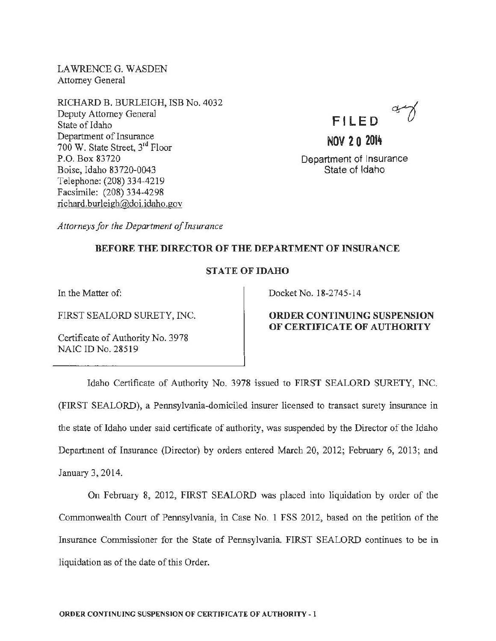LAWRENCEG. WASDEN Attorney General

RICHARD B. BURLEIGH, ISB No. 4032 Deputy Attorney General State of Idaho Department of Insurance 700 W. State Street, 3rd Floor P.O. Box 83720 Boise, Idaho 83720-0043 Telephone: (208) 334-4219 Facsimile: (208) 334-4298 richard.burleigh@doi.idaho.gov



NOV 2 0 2014 Department of Insurance State of Idaho

*Attorneys for the Department of Insurance* 

# BEFORE THE DIRECTOR OF THE DEPARTMENT OF INSURANCE

#### STATE OF IDAHO

In the Matter of:

FIRST SEALORD SURETY, INC.

Certificate of Authority No. 3978 NAIC ID No. 28519

Docket No. 18-2745-14

# ORDER CONTINUING SUSPENSION OF CERTIFICATE OF AUTHORITY

Idaho Certificate of Authority No. 3978 issued to FIRST SEALORD SURETY, INC. (FIRST SEALORD), a Pennsylvania-domiciled insurer licensed to transact surety insurance in the state of Idaho under said certificate of authority, was suspended by the Director of the Idaho Department of Insurance (Director) by orders entered March 20, 2012; February 6, 2013; and January 3, 2014.

On February 8, 2012, FIRST SEALORD was placed into liquidation by order of the Commonwealth Court of Pennsylvania, in Case No. 1 FSS 2012, based on the petition of the Insurance Commissioner for the State of Pennsylvania. FIRST SEALORD continues to be in liquidation as of the date of this Order.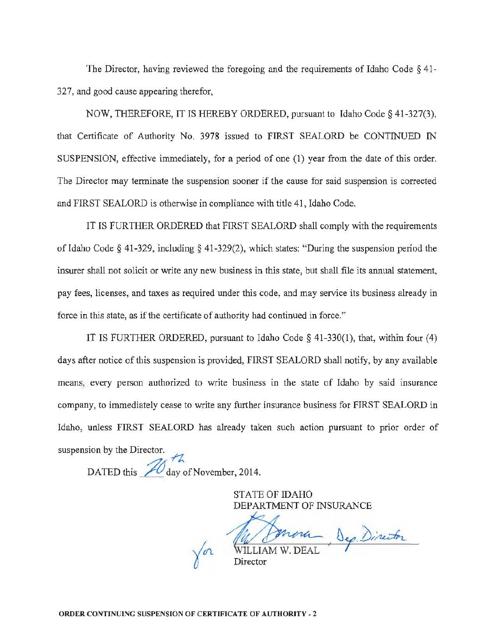The Director, having reviewed the foregoing and the requirements of Idaho Code § 41- 327, and good cause appearing therefor,

NOW, THEREFORE, IT IS HEREBY ORDERED, pursuant to Idaho Code§ 41-327(3), that Certificate of Authority No. 3978 issued to FIRST SEALORD be CONTINUED IN SUSPENSION, effective immediately, for a period of one (1) year from the date of this order. The Director may terminate the suspension sooner if the cause for said suspension is corrected and FIRST SEALORD is otherwise in compliance with title 41, Idaho Code.

IT IS FURTHER ORDERED that FIRST SEALORD shall comply with the requirements of Idaho Code§ 41-329, including§ 41-329(2), which states: "During the suspension period the insurer shall not solicit or write any new business in this state, but shall file its annual statement. pay fees, licenses, and taxes *as* required under this code, and may service its business already in force in this state, as if the certificate of authority had continued in force."

IT IS FURTHER ORDERED, pursuant to Idaho Code § 41-330(1), that, within four (4) days after notice of this suspension is provided, FIRST SEALORD shall notify, by any available means, every person authorized to write business in the state of Idaho by said insurance company, to immediately cease to write any further insurance business for FIRST SEALORD in Idaho, unless FIRST SEALORD has already taken such action pursuant to prior order of suspension by the Director.  $n^{th}$ 

DATED this  $\sqrt{\frac{1}{2}}$  day of November, 2014.

STATE OF IDAHO DEPARTMENT OF INSURANCE

Mr Johnna Dep Director

Director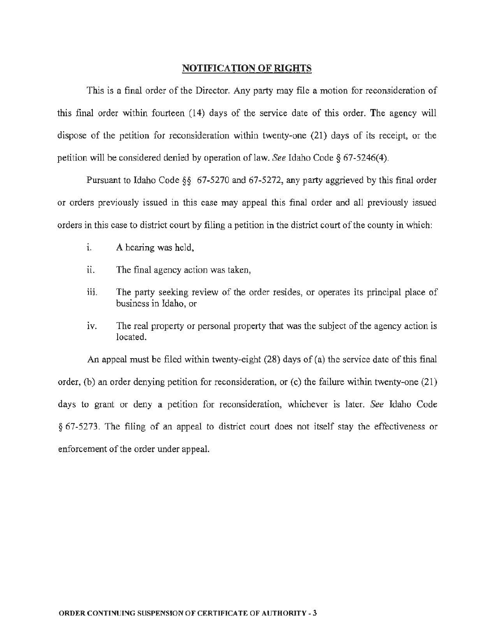#### NOTIFICATION OF RIGHTS

This is a final order of the Director. Any party may file a motion for reconsideration of this final order within fourteen (14) days of the service date of this order. The agency will dispose of the petition for reconsideration within twenty-one (21) days of its receipt, or the petition will be considered denied by operation of law. *See* Idaho Code§ 67-5246(4).

Pursuant to Idaho Code *§§* 67-5270 and 67-5272, any party aggrieved by this final order or orders previously issued in this case may appeal this final order and all previously issued orders in this case to district court by filing a petition in the district court of the county in which:

- 1. A hearing was held,
- ii. The final agency action was taken,
- iii. The party seeking review of the order resides, or operates its principal place of business in Idaho, or
- iv. The real property or personal property that was the subject of the agency action is located.

An appeal must be filed within twenty-eight (28) days of (a) the service date of this final order, (b) an order denying petition for reconsideration, or (c) the failure within twenty-one (21) days to grant or deny a petition for reconsideration, whichever is later. *See* Idaho Code *§* 67-5273. The filing of an appeal to district court does not itself stay the effectiveness or enforcement of the order under appeal.